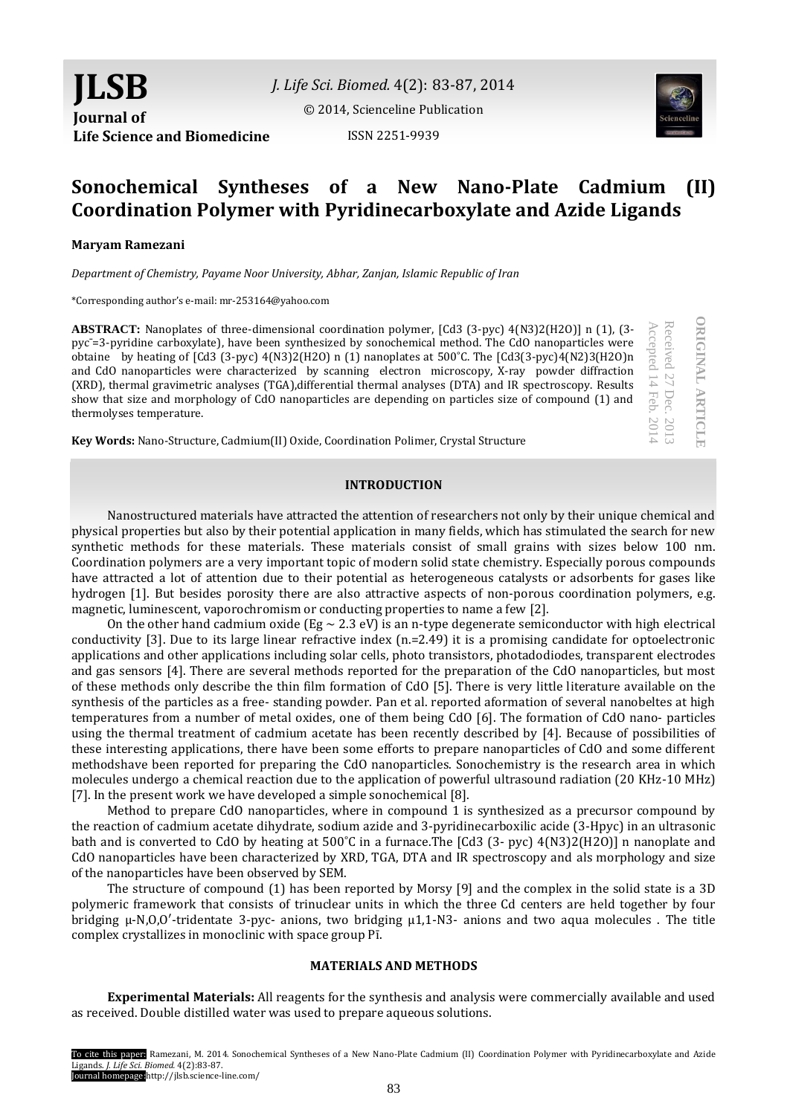*J. Life Sci. Biomed.* 4(2): 83-87, 2014

[© 2014, Scienceline Publication](http://www.science-line.com/index/)

ISSN 2251-9939



Received

Received 27 Dec.

Accepted 14

Accepted

Feb. 201

 $\overline{14}$ 

2014

Dec. 2013

2013

**ORIGINAL ARTICLE**

**DRIGINAL ARTICIE** 

# **Sonochemical Syntheses of a New Nano-Plate Cadmium (II) Coordination Polymer with Pyridinecarboxylate and Azide Ligands**

## **Maryam Ramezani**

*Department of Chemistry, Payame Noor University, Abhar, Zanjan, Islamic Republic of Iran*

\*Corresponding author's e-mail: mr-253164@yahoo.com

**ABSTRACT:** Nanoplates of three-dimensional coordination polymer, [Cd3 (3-pyc) 4(N3)2(H2O)] n (1), (3 pyc¯=3-pyridine carboxylate), have been synthesized by sonochemical method. The CdO nanoparticles were obtaine by heating of [Cd3 (3-pyc) 4(N3)2(H2O) n (1) nanoplates at 500˚C. The [Cd3(3-pyc)4(N2)3(H2O)n and CdO nanoparticles were characterized by scanning electron microscopy, X-ray powder diffraction (XRD), thermal gravimetric analyses (TGA),differential thermal analyses (DTA) and IR spectroscopy. Results show that size and morphology of CdO nanoparticles are depending on particles size of compound (1) and thermolyses temperature.

**Key Words:** Nano-Structure, Cadmium(II) Oxide, Coordination Polimer, Crystal Structure

## **INTRODUCTION**

Nanostructured materials have attracted the attention of researchers not only by their unique chemical and physical properties but also by their potential application in many fields, which has stimulated the search for new synthetic methods for these materials. These materials consist of small grains with sizes below 100 nm. Coordination polymers are a very important topic of modern solid state chemistry. Especially porous compounds have attracted a lot of attention due to their potential as heterogeneous catalysts or adsorbents for gases like hydrogen [1]. But besides porosity there are also attractive aspects of non-porous coordination polymers, e.g. magnetic, luminescent, vaporochromism or conducting properties to name a few [2].

On the other hand cadmium oxide (Eg  $\sim$  2.3 eV) is an n-type degenerate semiconductor with high electrical conductivity [3]. Due to its large linear refractive index (n.=2.49) it is a promising candidate for optoelectronic applications and other applications including solar cells, photo transistors, photadodiodes, transparent electrodes and gas sensors [4]. There are several methods reported for the preparation of the CdO nanoparticles, but most of these methods only describe the thin film formation of CdO [5]. There is very little literature available on the synthesis of the particles as a free- standing powder. Pan et al. reported aformation of several nanobeltes at high temperatures from a number of metal oxides, one of them being CdO [6]. The formation of CdO nano- particles using the thermal treatment of cadmium acetate has been recently described by [4]. Because of possibilities of these interesting applications, there have been some efforts to prepare nanoparticles of CdO and some different methodshave been reported for preparing the CdO nanoparticles. Sonochemistry is the research area in which molecules undergo a chemical reaction due to the application of powerful ultrasound radiation (20 KHz-10 MHz) [7]. In the present work we have developed a simple sonochemical [8].

Method to prepare CdO nanoparticles, where in compound 1 is synthesized as a precursor compound by the reaction of cadmium acetate dihydrate, sodium azide and 3-pyridinecarboxilic acide (3-Hpyc) in an ultrasonic bath and is converted to CdO by heating at 500˚C in a furnace.The [Cd3 (3- pyc) 4(N3)2(H2O)] n nanoplate and CdO nanoparticles have been characterized by XRD, TGA, DTA and IR spectroscopy and als morphology and size of the nanoparticles have been observed by SEM.

The structure of compound (1) has been reported by Morsy [9] and the complex in the solid state is a 3D polymeric framework that consists of trinuclear units in which the three Cd centers are held together by four bridging μ-N,O,O′-tridentate 3-pyc- anions, two bridging μ1,1-N3- anions and two aqua molecules . The title complex crystallizes in monoclinic with space group Pī.

#### **MATERIALS AND METHODS**

**Experimental Materials:** All reagents for the synthesis and analysis were commercially available and used as received. Double distilled water was used to prepare aqueous solutions.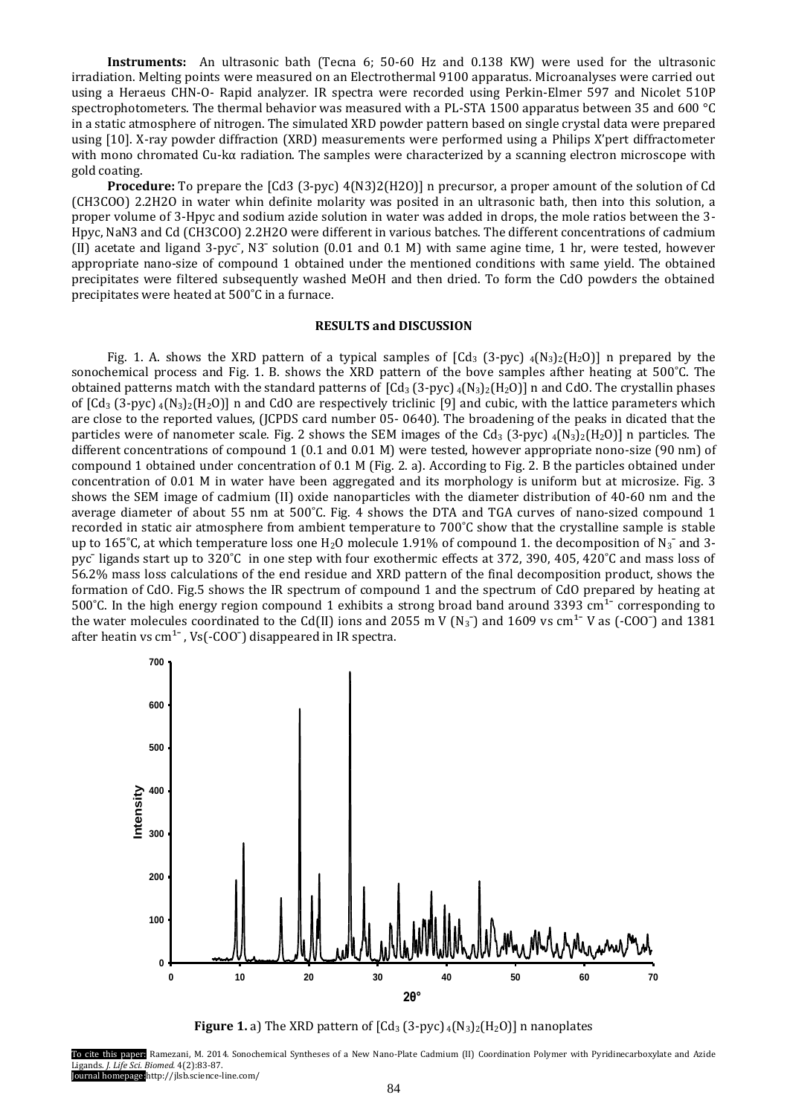**Instruments:** An ultrasonic bath (Tecna 6; 50-60 Hz and 0.138 KW) were used for the ultrasonic irradiation. Melting points were measured on an Electrothermal 9100 apparatus. Microanalyses were carried out using a Heraeus CHN-O- Rapid analyzer. IR spectra were recorded using Perkin-Elmer 597 and Nicolet 510P spectrophotometers. The thermal behavior was measured with a PL-STA 1500 apparatus between 35 and 600 °C in a static atmosphere of nitrogen. The simulated XRD powder pattern based on single crystal data were prepared using [10]. X-ray powder diffraction (XRD) measurements were performed using a Philips X'pert diffractometer with mono chromated Cu-kα radiation. The samples were characterized by a scanning electron microscope with gold coating.

**Procedure:** To prepare the [Cd3 (3-pyc) 4(N3)2(H2O)] n precursor, a proper amount of the solution of Cd (CH3COO) 2.2H2O in water whin definite molarity was posited in an ultrasonic bath, then into this solution, a proper volume of 3-Hpyc and sodium azide solution in water was added in drops, the mole ratios between the 3- Hpyc, NaN3 and Cd (CH3COO) 2.2H2O were different in various batches. The different concentrations of cadmium (II) acetate and ligand 3-pyc<sup>-</sup>, N<sub>3</sub><sup>-</sup> solution (0.01 and 0.1 M) with same agine time, 1 hr, were tested, however appropriate nano-size of compound 1 obtained under the mentioned conditions with same yield. The obtained precipitates were filtered subsequently washed MeOH and then dried. To form the CdO powders the obtained precipitates were heated at 500˚C in a furnace.

### **RESULTS and DISCUSSION**

Fig. 1. A. shows the XRD pattern of a typical samples of  $\lceil \text{Cd}_3 \rceil (3-\text{pvc})$   $\binom{4}{32} \binom{H_2}{1}$  n prepared by the sonochemical process and Fig. 1. B. shows the XRD pattern of the bove samples afther heating at 500°C. The obtained patterns match with the standard patterns of  $\lceil \text{Cd}_3 \rceil(3-\text{pyc}) \rceil(4\text{N}_3)\cdot \lceil \text{H}_2 \rceil(4\text{N}_3)$  n and CdO. The crystallin phases of  $\left[Cd_3 (3-pyc) \cdot 4(N_3)_2(H_2O)\right]$  n and CdO are respectively triclinic [9] and cubic, with the lattice parameters which are close to the reported values, (JCPDS card number 05- 0640). The broadening of the peaks in dicated that the particles were of nanometer scale. Fig. 2 shows the SEM images of the Cd<sub>3</sub> (3-pyc)  $_4$ (N<sub>3</sub>)<sub>2</sub>(H<sub>2</sub>O)] n particles. The different concentrations of compound 1 (0.1 and 0.01 M) were tested, however appropriate nono-size (90 nm) of compound 1 obtained under concentration of 0.1 M (Fig. 2. a). According to Fig. 2. B the particles obtained under concentration of 0.01 M in water have been aggregated and its morphology is uniform but at microsize. Fig. 3 shows the SEM image of cadmium (II) oxide nanoparticles with the diameter distribution of 40-60 nm and the average diameter of about 55 nm at 500˚C. Fig. 4 shows the DTA and TGA curves of nano-sized compound 1 recorded in static air atmosphere from ambient temperature to 700˚C show that the crystalline sample is stable up to 165°C, at which temperature loss one H<sub>2</sub>O molecule 1.91% of compound 1. the decomposition of N<sub>3</sub><sup> $-$ </sup> and 3pyc¯ ligands start up to 320˚C in one step with four exothermic effects at 372, 390, 405, 420˚C and mass loss of 56.2% mass loss calculations of the end residue and XRD pattern of the final decomposition product, shows the formation of CdO. Fig.5 shows the IR spectrum of compound 1 and the spectrum of CdO prepared by heating at 500°C. In the high energy region compound 1 exhibits a strong broad band around 3393 cm<sup>1-</sup> corresponding to the water molecules coordinated to the Cd(II) ions and 2055 m V (N<sub>3</sub><sup>-</sup>) and 1609 vs cm<sup>1-</sup> V as (-COO<sup>-</sup>) and 1381 after heatin vs  $cm<sup>1</sup>$ , Vs(-COO<sup>-</sup>) disappeared in IR spectra.



**Figure 1.** a) The XRD pattern of  $\left[ Cd_3(3-pyc)_{4}(N_3)_{2}(H_2O) \right]$  n nanoplates

To cite this paper: Ramezani, M. 2014. Sonochemical Syntheses of a New Nano-Plate Cadmium (II) Coordination Polymer with Pyridinecarboxylate and Azide Ligands. *J. Life Sci. Biomed.* 4(2):83-87. Journal homepage:http://jlsb.science-line.com/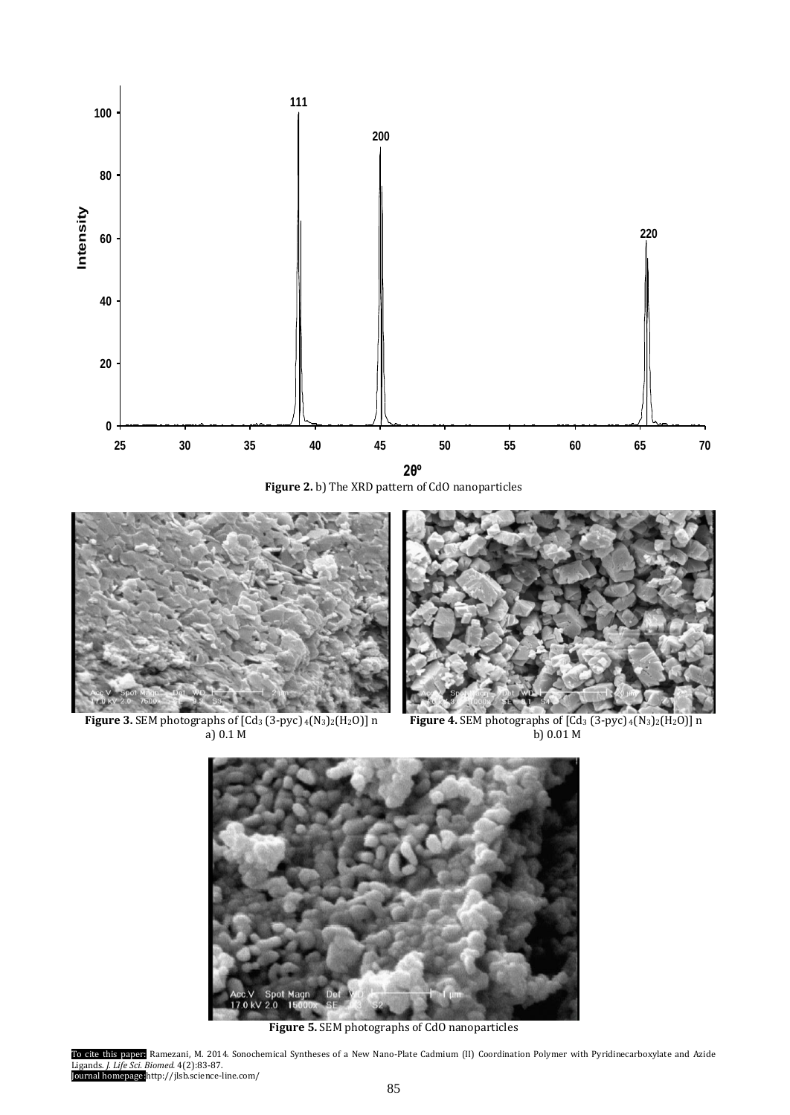

**Figure 2.** b) The XRD pattern of CdO nanoparticles





a) 0.1 M b) 0.01 M

 **Figure 3.** SEM photographs of [Cd<sup>3</sup> (3-pyc) <sup>4</sup>(N3)2(H2O)] n **Figure 4.** SEM photographs of [Cd<sup>3</sup> (3-pyc) <sup>4</sup>(N3)2(H2O)] n



**Figure 5.** SEM photographs of CdO nanoparticles

To cite this paper: Ramezani, M. 2014. Sonochemical Syntheses of a New Nano-Plate Cadmium (II) Coordination Polymer with Pyridinecarboxylate and Azide Ligands. *J. Life Sci. Biomed.* 4(2):83-87. Journal homepage:http://jlsb.science-line.com/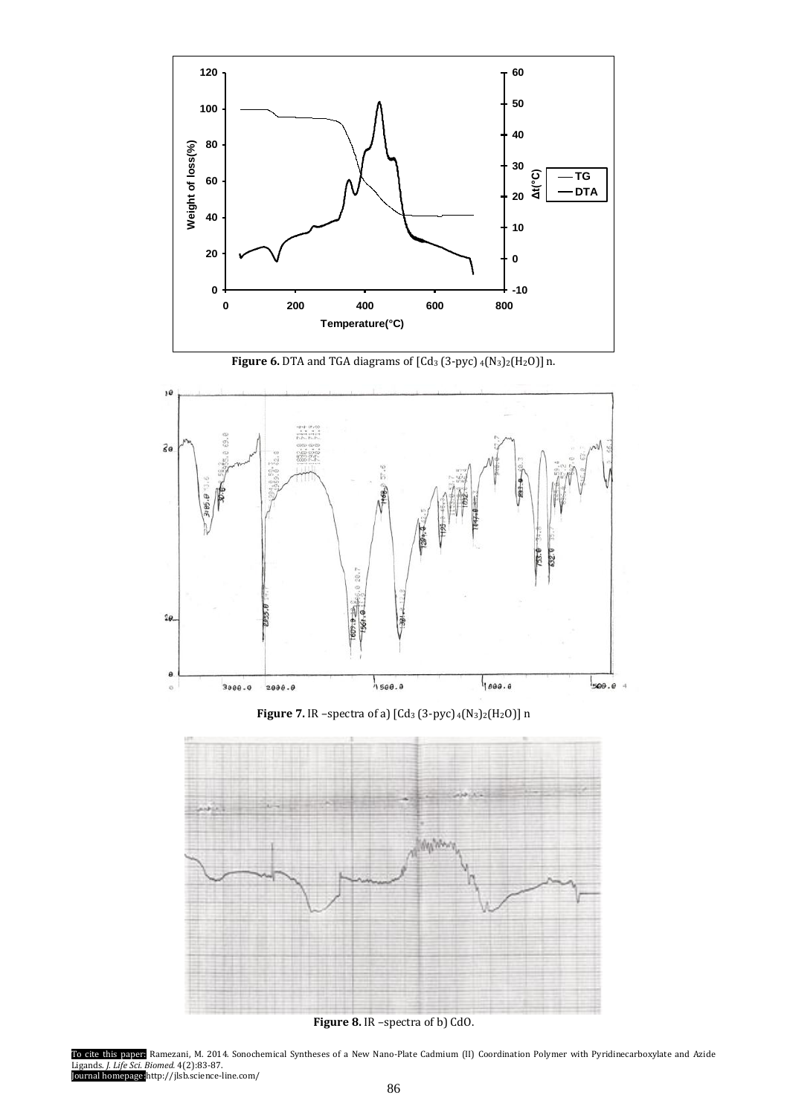

**Figure 6.** DTA and TGA diagrams of [Cd<sup>3</sup> (3-pyc) <sup>4</sup>(N3)2(H2O)] n.



**Figure 7.** IR –spectra of a) [Cd<sup>3</sup> (3-pyc) <sup>4</sup>(N3)2(H2O)] n



**Figure 8.** IR –spectra of b) CdO.

To cite this paper: Ramezani, M. 2014. Sonochemical Syntheses of a New Nano-Plate Cadmium (II) Coordination Polymer with Pyridinecarboxylate and Azide Ligands. *J. Life Sci. Biomed.* 4(2):83-87. Journal homepage:http://jlsb.science-line.com/